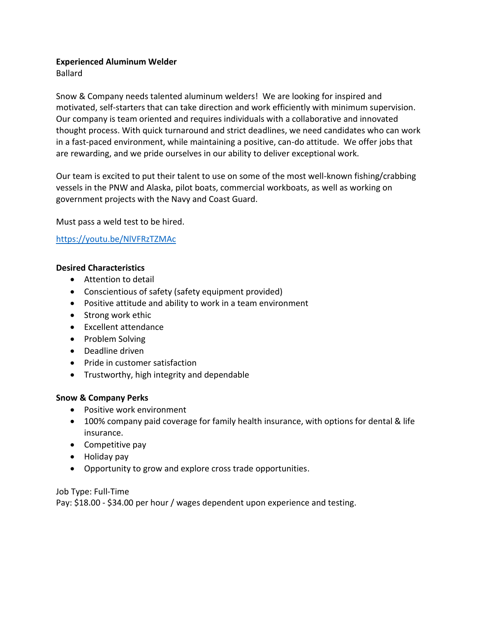### **Experienced Aluminum Welder**

Ballard

Snow & Company needs talented aluminum welders! We are looking for inspired and motivated, self-starters that can take direction and work efficiently with minimum supervision. Our company is team oriented and requires individuals with a collaborative and innovated thought process. With quick turnaround and strict deadlines, we need candidates who can work in a fast-paced environment, while maintaining a positive, can-do attitude. We offer jobs that are rewarding, and we pride ourselves in our ability to deliver exceptional work.

Our team is excited to put their talent to use on some of the most well-known fishing/crabbing vessels in the PNW and Alaska, pilot boats, commercial workboats, as well as working on government projects with the Navy and Coast Guard.

Must pass a weld test to be hired.

## <https://youtu.be/NlVFRzTZMAc>

### **Desired Characteristics**

- Attention to detail
- Conscientious of safety (safety equipment provided)
- Positive attitude and ability to work in a team environment
- Strong work ethic
- Excellent attendance
- Problem Solving
- Deadline driven
- Pride in customer satisfaction
- Trustworthy, high integrity and dependable

## **Snow & Company Perks**

- Positive work environment
- 100% company paid coverage for family health insurance, with options for dental & life insurance.
- Competitive pay
- Holiday pay
- Opportunity to grow and explore cross trade opportunities.

## Job Type: Full-Time

Pay: \$18.00 - \$34.00 per hour / wages dependent upon experience and testing.